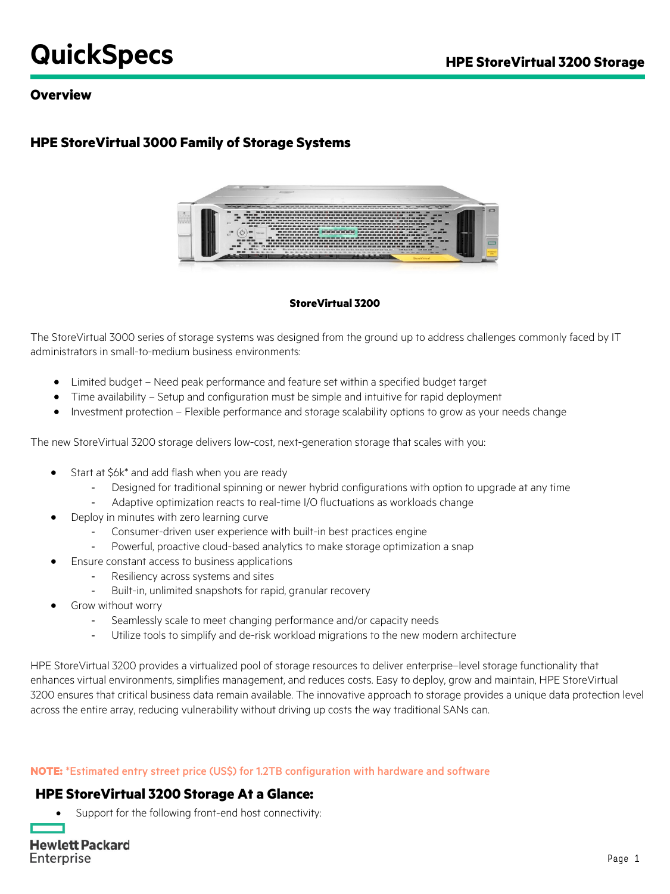# **QuickSpecs HPE StoreVirtual 3200 Storage**

## **Overview**

# **HPE StoreVirtual 3000 Family of Storage Systems**



#### **StoreVirtual 3200**

The StoreVirtual 3000 series of storage systems was designed from the ground up to address challenges commonly faced by IT administrators in small-to-medium business environments:

- Limited budget Need peak performance and feature set within a specified budget target
- Time availability Setup and configuration must be simple and intuitive for rapid deployment
- Investment protection Flexible performance and storage scalability options to grow as your needs change

The new StoreVirtual 3200 storage delivers low-cost, next-generation storage that scales with you:

- Start at \$6k\* and add flash when you are ready
	- Designed for traditional spinning or newer hybrid configurations with option to upgrade at any time
	- Adaptive optimization reacts to real-time I/O fluctuations as workloads change
- Deploy in minutes with zero learning curve
	- Consumer-driven user experience with built-in best practices engine
	- Powerful, proactive cloud-based analytics to make storage optimization a snap
- Ensure constant access to business applications
	- Resiliency across systems and sites
	- Built-in, unlimited snapshots for rapid, granular recovery
- Grow without worry
	- Seamlessly scale to meet changing performance and/or capacity needs
	- Utilize tools to simplify and de-risk workload migrations to the new modern architecture

HPE StoreVirtual 3200 provides a virtualized pool of storage resources to deliver enterprise–level storage functionality that enhances virtual environments, simplifies management, and reduces costs. Easy to deploy, grow and maintain, HPE StoreVirtual 3200 ensures that critical business data remain available. The innovative approach to storage provides a unique data protection level across the entire array, reducing vulnerability without driving up costs the way traditional SANs can.

#### **NOTE:** \*Estimated entry street price (US\$) for 1.2TB configuration with hardware and software

## **HPE StoreVirtual 3200 Storage At a Glance:**

Support for the following front-end host connectivity: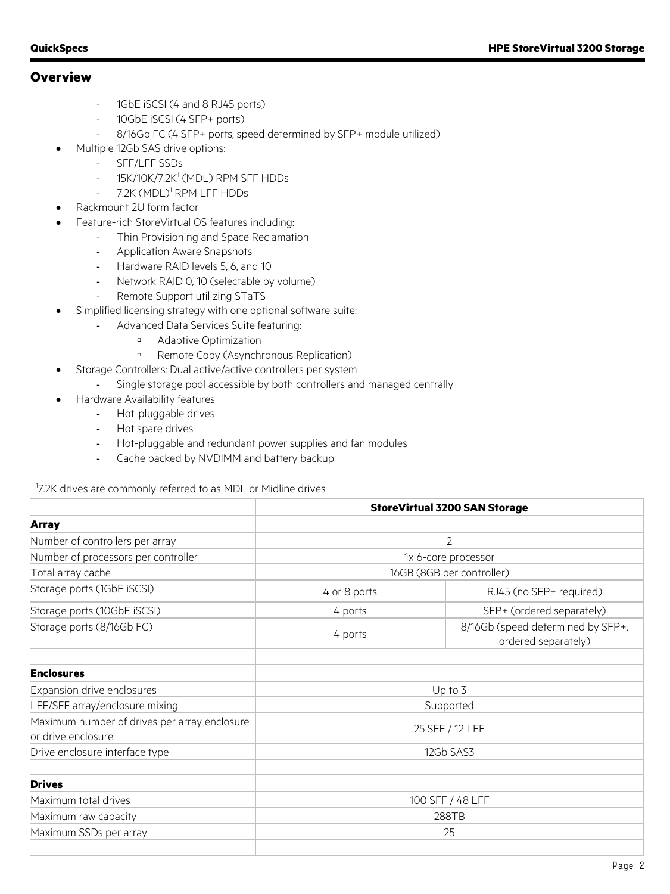## **Overview**

- 1GbE iSCSI (4 and 8 RJ45 ports)
- 10GbE iSCSI (4 SFP+ ports)
- 8/16Gb FC (4 SFP+ ports, speed determined by SFP+ module utilized)
- Multiple 12Gb SAS drive options:
	- SFF/LFF SSDs
	- 15K/10K/7.2K<sup>1</sup> (MDL) RPM SFF HDDs
	- 7.2K (MDL)<sup>1</sup> RPM LFF HDDs
- Rackmount 2U form factor
- Feature-rich StoreVirtual OS features including:
	- Thin Provisioning and Space Reclamation
	- Application Aware Snapshots
	- Hardware RAID levels 5, 6, and 10
	- Network RAID 0, 10 (selectable by volume)
	- Remote Support utilizing STaTS
- Simplified licensing strategy with one optional software suite:
	- Advanced Data Services Suite featuring:
		- Adaptive Optimization
		- **B** Remote Copy (Asynchronous Replication)
- Storage Controllers: Dual active/active controllers per system
	- Single storage pool accessible by both controllers and managed centrally
- Hardware Availability features
	- Hot-pluggable drives
	- Hot spare drives
	- Hot-pluggable and redundant power supplies and fan modules
	- Cache backed by NVDIMM and battery backup

1 7.2K drives are commonly referred to as MDL or Midline drives

|                                              | <b>StoreVirtual 3200 SAN Storage</b> |                                                          |
|----------------------------------------------|--------------------------------------|----------------------------------------------------------|
| <b>Array</b>                                 |                                      |                                                          |
| Number of controllers per array              | 2                                    |                                                          |
| Number of processors per controller          | 1x 6-core processor                  |                                                          |
| Total array cache                            |                                      | 16GB (8GB per controller)                                |
| Storage ports (1GbE iSCSI)                   | 4 or 8 ports                         | RJ45 (no SFP+ required)                                  |
| Storage ports (10GbE iSCSI)                  | 4 ports                              | SFP+ (ordered separately)                                |
| Storage ports (8/16Gb FC)                    | 4 ports                              | 8/16Gb (speed determined by SFP+,<br>ordered separately) |
|                                              |                                      |                                                          |
| <b>Enclosures</b>                            |                                      |                                                          |
| Expansion drive enclosures                   | Up to 3                              |                                                          |
| LFF/SFF array/enclosure mixing               |                                      | Supported                                                |
| Maximum number of drives per array enclosure |                                      |                                                          |
| or drive enclosure                           |                                      | 25 SFF / 12 LFF                                          |
| Drive enclosure interface type               | 12Gb SAS3                            |                                                          |
| <b>Drives</b>                                |                                      |                                                          |
| Maximum total drives                         | 100 SFF / 48 LFF                     |                                                          |
| Maximum raw capacity                         | 288TB                                |                                                          |
| Maximum SSDs per array                       | 25                                   |                                                          |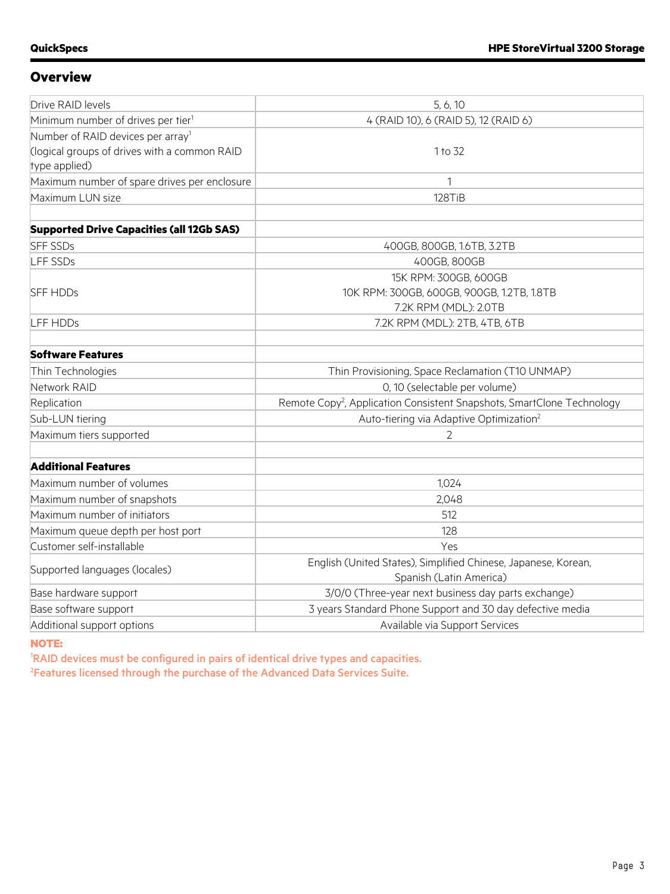## **Overview**

| Drive RAID levels                                | 5, 6, 10                                                                           |  |
|--------------------------------------------------|------------------------------------------------------------------------------------|--|
| Minimum number of drives per tier <sup>1</sup>   | 4 (RAID 10), 6 (RAID 5), 12 (RAID 6)                                               |  |
| Number of RAID devices per array <sup>1</sup>    |                                                                                    |  |
| (logical groups of drives with a common RAID     | 1 to 32                                                                            |  |
| type applied)                                    |                                                                                    |  |
| Maximum number of spare drives per enclosure     | 1                                                                                  |  |
| Maximum LUN size                                 | 128TiB                                                                             |  |
|                                                  |                                                                                    |  |
| <b>Supported Drive Capacities (all 12Gb SAS)</b> |                                                                                    |  |
| <b>SFF SSDs</b>                                  | 400GB, 800GB, 1.6TB, 3.2TB                                                         |  |
| LFF SSDs                                         | 400GB, 800GB                                                                       |  |
|                                                  | 15K RPM: 300GB, 600GB                                                              |  |
| <b>SFF HDDs</b>                                  | 10K RPM: 300GB, 600GB, 900GB, 1.2TB, 1.8TB                                         |  |
|                                                  | 7.2K RPM (MDL): 2.0TB                                                              |  |
| <b>LFF HDDs</b>                                  | 7.2K RPM (MDL): 2TB, 4TB, 6TB                                                      |  |
|                                                  |                                                                                    |  |
| <b>Software Features</b>                         |                                                                                    |  |
| Thin Technologies                                | Thin Provisioning, Space Reclamation (T10 UNMAP)                                   |  |
| Network RAID                                     | 0, 10 (selectable per volume)                                                      |  |
| Replication                                      | Remote Copy <sup>2</sup> , Application Consistent Snapshots, SmartClone Technology |  |
| Sub-LUN tiering                                  | Auto-tiering via Adaptive Optimization <sup>2</sup>                                |  |
| Maximum tiers supported                          | $\overline{2}$                                                                     |  |
|                                                  |                                                                                    |  |
| <b>Additional Features</b>                       |                                                                                    |  |
| Maximum number of volumes                        | 1,024                                                                              |  |
| Maximum number of snapshots                      | 2,048                                                                              |  |
| Maximum number of initiators                     | 512                                                                                |  |
| Maximum queue depth per host port                | 128                                                                                |  |
| Customer self-installable                        | Yes                                                                                |  |
|                                                  | English (United States), Simplified Chinese, Japanese, Korean,                     |  |
| Supported languages (locales)                    | Spanish (Latin America)                                                            |  |
| Base hardware support                            | 3/0/0 (Three-year next business day parts exchange)                                |  |
| Base software support                            | 3 years Standard Phone Support and 30 day defective media                          |  |
| Additional support options                       | Available via Support Services                                                     |  |

#### **NOTE:**

1 RAID devices must be configured in pairs of identical drive types and capacities. <sup>2</sup>Features licensed through the purchase of the Advanced Data Services Suite.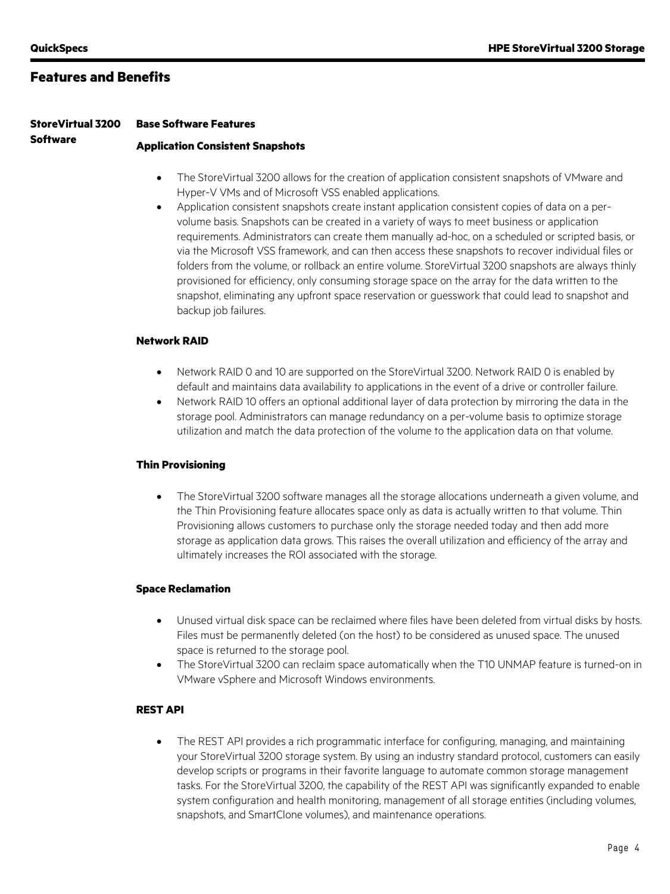**Software**

## **Features and Benefits**

#### **StoreVirtual 3200 Base Software Features**

#### **Application Consistent Snapshots**

- The StoreVirtual 3200 allows for the creation of application consistent snapshots of VMware and Hyper-V VMs and of Microsoft VSS enabled applications.
- Application consistent snapshots create instant application consistent copies of data on a pervolume basis. Snapshots can be created in a variety of ways to meet business or application requirements. Administrators can create them manually ad-hoc, on a scheduled or scripted basis, or via the Microsoft VSS framework, and can then access these snapshots to recover individual files or folders from the volume, or rollback an entire volume. StoreVirtual 3200 snapshots are always thinly provisioned for efficiency, only consuming storage space on the array for the data written to the snapshot, eliminating any upfront space reservation or guesswork that could lead to snapshot and backup job failures.

#### **Network RAID**

- Network RAID 0 and 10 are supported on the StoreVirtual 3200. Network RAID 0 is enabled by default and maintains data availability to applications in the event of a drive or controller failure.
- Network RAID 10 offers an optional additional layer of data protection by mirroring the data in the storage pool. Administrators can manage redundancy on a per-volume basis to optimize storage utilization and match the data protection of the volume to the application data on that volume.

#### **Thin Provisioning**

• The StoreVirtual 3200 software manages all the storage allocations underneath a given volume, and the Thin Provisioning feature allocates space only as data is actually written to that volume. Thin Provisioning allows customers to purchase only the storage needed today and then add more storage as application data grows. This raises the overall utilization and efficiency of the array and ultimately increases the ROI associated with the storage.

#### **Space Reclamation**

- Unused virtual disk space can be reclaimed where files have been deleted from virtual disks by hosts. Files must be permanently deleted (on the host) to be considered as unused space. The unused space is returned to the storage pool.
- The StoreVirtual 3200 can reclaim space automatically when the T10 UNMAP feature is turned-on in VMware vSphere and Microsoft Windows environments.

#### **REST API**

• The REST API provides a rich programmatic interface for configuring, managing, and maintaining your StoreVirtual 3200 storage system. By using an industry standard protocol, customers can easily develop scripts or programs in their favorite language to automate common storage management tasks. For the StoreVirtual 3200, the capability of the REST API was significantly expanded to enable system configuration and health monitoring, management of all storage entities (including volumes, snapshots, and SmartClone volumes), and maintenance operations.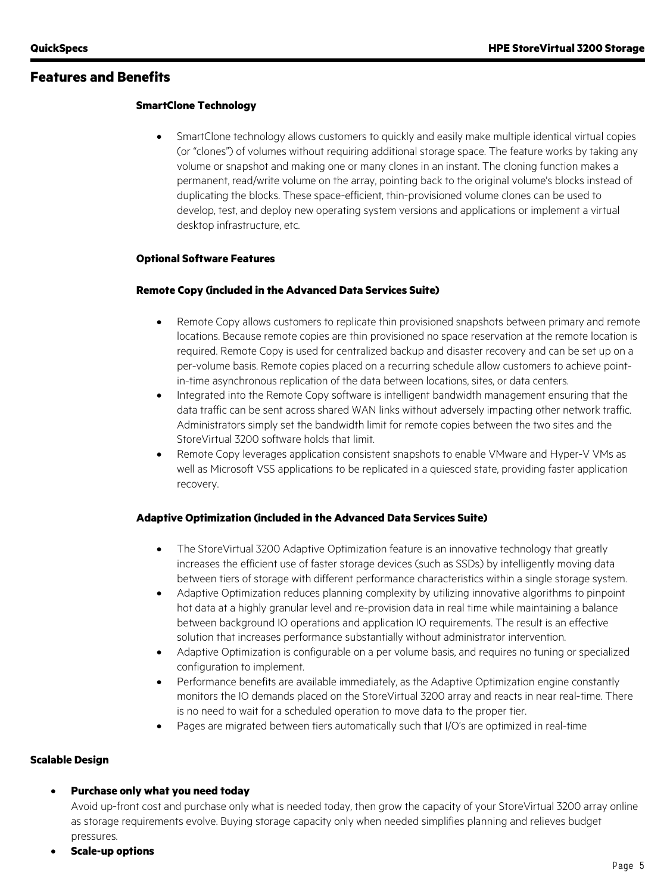#### **Features and Benefits**

#### **SmartClone Technology**

• SmartClone technology allows customers to quickly and easily make multiple identical virtual copies (or "clones") of volumes without requiring additional storage space. The feature works by taking any volume or snapshot and making one or many clones in an instant. The cloning function makes a permanent, read/write volume on the array, pointing back to the original volume's blocks instead of duplicating the blocks. These space-efficient, thin-provisioned volume clones can be used to develop, test, and deploy new operating system versions and applications or implement a virtual desktop infrastructure, etc.

#### **Optional Software Features**

#### **Remote Copy (included in the Advanced Data Services Suite)**

- Remote Copy allows customers to replicate thin provisioned snapshots between primary and remote locations. Because remote copies are thin provisioned no space reservation at the remote location is required. Remote Copy is used for centralized backup and disaster recovery and can be set up on a per-volume basis. Remote copies placed on a recurring schedule allow customers to achieve pointin-time asynchronous replication of the data between locations, sites, or data centers.
- Integrated into the Remote Copy software is intelligent bandwidth management ensuring that the data traffic can be sent across shared WAN links without adversely impacting other network traffic. Administrators simply set the bandwidth limit for remote copies between the two sites and the StoreVirtual 3200 software holds that limit.
- Remote Copy leverages application consistent snapshots to enable VMware and Hyper-V VMs as well as Microsoft VSS applications to be replicated in a quiesced state, providing faster application recovery.

#### **Adaptive Optimization (included in the Advanced Data Services Suite)**

- The StoreVirtual 3200 Adaptive Optimization feature is an innovative technology that greatly increases the efficient use of faster storage devices (such as SSDs) by intelligently moving data between tiers of storage with different performance characteristics within a single storage system.
- Adaptive Optimization reduces planning complexity by utilizing innovative algorithms to pinpoint hot data at a highly granular level and re-provision data in real time while maintaining a balance between background IO operations and application IO requirements. The result is an effective solution that increases performance substantially without administrator intervention.
- Adaptive Optimization is configurable on a per volume basis, and requires no tuning or specialized configuration to implement.
- Performance benefits are available immediately, as the Adaptive Optimization engine constantly monitors the IO demands placed on the StoreVirtual 3200 array and reacts in near real-time. There is no need to wait for a scheduled operation to move data to the proper tier.
- Pages are migrated between tiers automatically such that I/O's are optimized in real-time

#### **Scalable Design**

• **Purchase only what you need today**

Avoid up-front cost and purchase only what is needed today, then grow the capacity of your StoreVirtual 3200 array online as storage requirements evolve. Buying storage capacity only when needed simplifies planning and relieves budget pressures.

• **Scale-up options**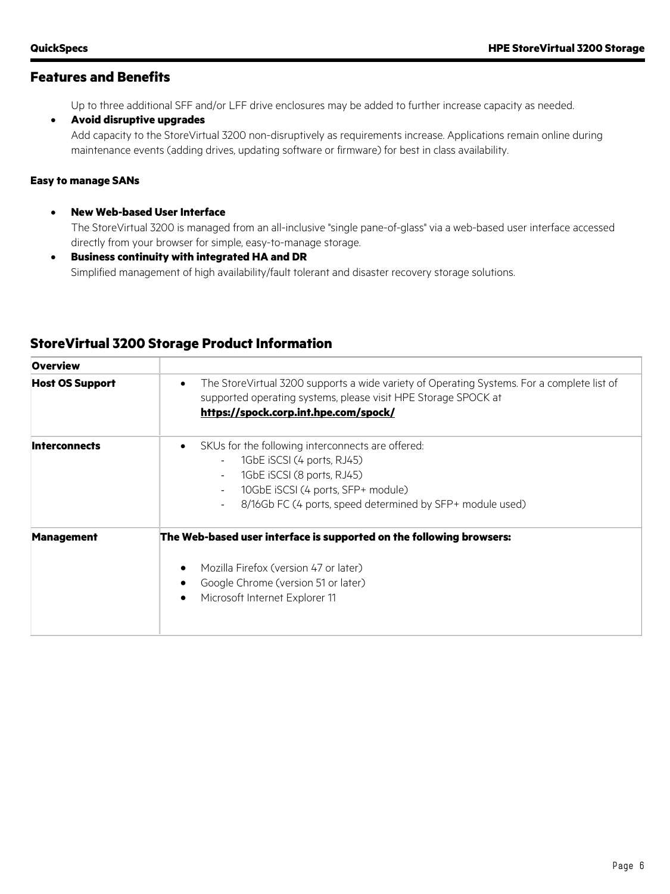## **Features and Benefits**

Up to three additional SFF and/or LFF drive enclosures may be added to further increase capacity as needed.

#### • **Avoid disruptive upgrades**

Add capacity to the StoreVirtual 3200 non-disruptively as requirements increase. Applications remain online during maintenance events (adding drives, updating software or firmware) for best in class availability.

#### **Easy to manage SANs**

- **New Web-based User Interface** The StoreVirtual 3200 is managed from an all-inclusive "single pane-of-glass" via a web-based user interface accessed directly from your browser for simple, easy-to-manage storage.
- **Business continuity with integrated HA and DR** Simplified management of high availability/fault tolerant and disaster recovery storage solutions.

| <b>Overview</b>        |                                                                                                                                                                                                                                                                                                                                               |
|------------------------|-----------------------------------------------------------------------------------------------------------------------------------------------------------------------------------------------------------------------------------------------------------------------------------------------------------------------------------------------|
| <b>Host OS Support</b> | The StoreVirtual 3200 supports a wide variety of Operating Systems. For a complete list of<br>$\bullet$<br>supported operating systems, please visit HPE Storage SPOCK at<br>https://spock.corp.int.hpe.com/spock/                                                                                                                            |
| <b>Interconnects</b>   | SKUs for the following interconnects are offered:<br>$\bullet$<br>1GbE iSCSI (4 ports, RJ45)<br>$\overline{\phantom{a}}$<br>1GbE iSCSI (8 ports, RJ45)<br>$\overline{\phantom{a}}$<br>10GbE iSCSI (4 ports, SFP+ module)<br>$\overline{\phantom{a}}$<br>8/16Gb FC (4 ports, speed determined by SFP+ module used)<br>$\overline{\phantom{a}}$ |
| <b>Management</b>      | The Web-based user interface is supported on the following browsers:<br>Mozilla Firefox (version 47 or later)<br>Google Chrome (version 51 or later)<br>Microsoft Internet Explorer 11                                                                                                                                                        |

## **StoreVirtual 3200 Storage Product Information**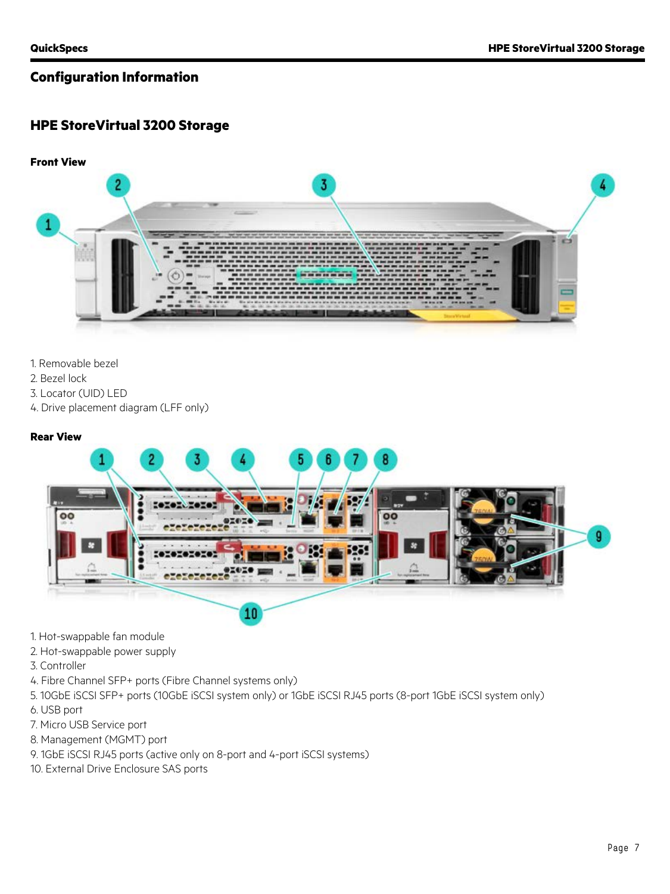## **HPE StoreVirtual 3200 Storage**



- 1. Removable bezel
- 2. Bezel lock
- 3. Locator (UID) LED
- 4. Drive placement diagram (LFF only)

#### **Rear View**



- 1. Hot-swappable fan module
- 2. Hot-swappable power supply
- 3. Controller
- 4. Fibre Channel SFP+ ports (Fibre Channel systems only)
- 5. 10GbE iSCSI SFP+ ports (10GbE iSCSI system only) or 1GbE iSCSI RJ45 ports (8-port 1GbE iSCSI system only)
- 6. USB port
- 7. Micro USB Service port
- 8. Management (MGMT) port
- 9. 1GbE iSCSI RJ45 ports (active only on 8-port and 4-port iSCSI systems)
- 10. External Drive Enclosure SAS ports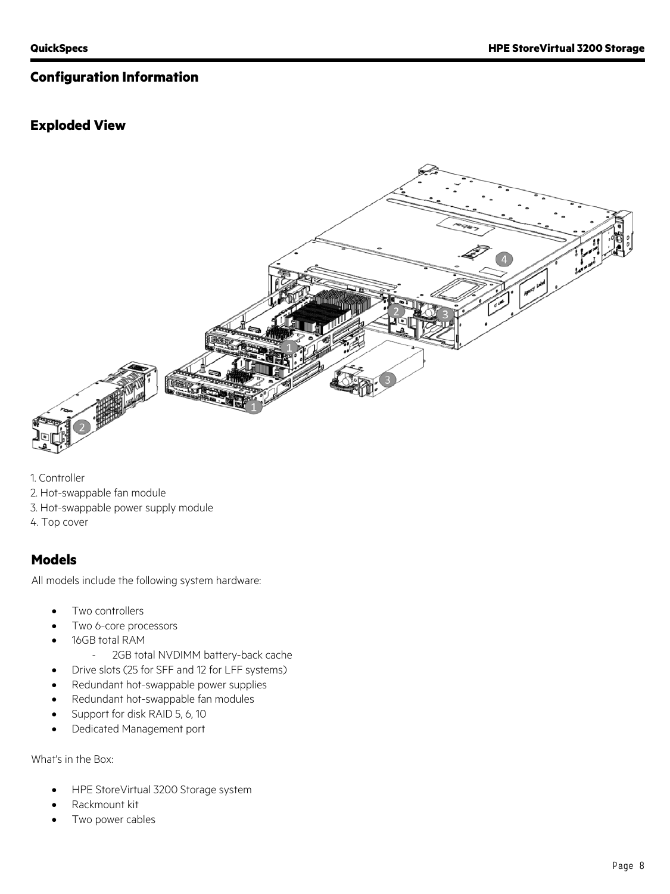## **Exploded View**



1. Controller

- 2. Hot-swappable fan module
- 3. Hot-swappable power supply module
- 4. Top cover

## **Models**

All models include the following system hardware:

- Two controllers
- Two 6-core processors
- 16GB total RAM
	- 2GB total NVDIMM battery-back cache
- Drive slots (25 for SFF and 12 for LFF systems)
- Redundant hot-swappable power supplies
- Redundant hot-swappable fan modules
- Support for disk RAID 5, 6, 10
- Dedicated Management port

What's in the Box:

- HPE StoreVirtual 3200 Storage system
- Rackmount kit
- Two power cables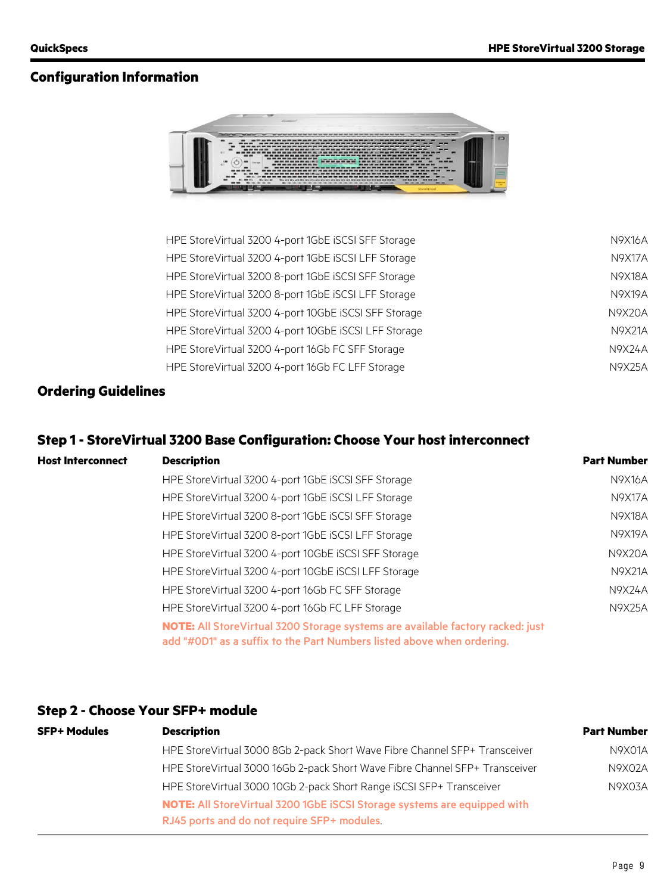

| HPE StoreVirtual 3200 4-port 1GbE iSCSI SFF Storage  | N9X16A |
|------------------------------------------------------|--------|
| HPE StoreVirtual 3200 4-port 1GbE iSCSI LFF Storage  | N9X17A |
| HPE StoreVirtual 3200 8-port 1GbE iSCSI SFF Storage  | N9X18A |
| HPE StoreVirtual 3200 8-port 1GbE ISCSI LFF Storage  | N9X19A |
| HPE StoreVirtual 3200 4-port 10GbE ISCSI SFF Storage | N9X20A |
| HPE StoreVirtual 3200 4-port 10GbE ISCSI LFF Storage | N9X21A |
| HPE StoreVirtual 3200 4-port 16Gb FC SFF Storage     | N9X24A |
| HPE Store Virtual 3200 4-port 16Gb FC LFF Storage    | N9X25A |
|                                                      |        |

## **Ordering Guidelines**

## **Step 1 - StoreVirtual 3200 Base Configuration: Choose Your host interconnect**

| <b>Host Interconnect</b> | <b>Description</b>                                                                                                                                        | <b>Part Number</b> |
|--------------------------|-----------------------------------------------------------------------------------------------------------------------------------------------------------|--------------------|
|                          | HPE Store Virtual 3200 4-port 1GbE ISCSI SFF Storage                                                                                                      | N9X16A             |
|                          | HPE Store Virtual 3200 4-port 1GbE ISCSI LFF Storage                                                                                                      | N9X17A             |
|                          | HPE StoreVirtual 3200 8-port 1GbE ISCSI SFF Storage                                                                                                       | N9X18A             |
|                          | HPE Store Virtual 3200 8-port 1GbE ISCSI LFF Storage                                                                                                      | N9X19A             |
|                          | HPE StoreVirtual 3200 4-port 10GbE ISCSI SFF Storage                                                                                                      | <b>N9X20A</b>      |
|                          | HPE StoreVirtual 3200 4-port 10GbE ISCSI LFF Storage                                                                                                      | N9X21A             |
|                          | HPE StoreVirtual 3200 4-port 16Gb FC SFF Storage                                                                                                          | N9X24A             |
|                          | HPE Store Virtual 3200 4-port 16Gb FC LFF Storage                                                                                                         | N9X25A             |
|                          | NOTE: All Store Virtual 3200 Storage systems are available factory racked: just<br>add "#0D1" as a suffix to the Part Numbers listed above when ordering. |                    |

## **Step 2 - Choose Your SFP+ module**

| <b>SFP+ Modules</b> | <b>Description</b>                                                          | <b>Part Number</b> |
|---------------------|-----------------------------------------------------------------------------|--------------------|
|                     | HPE StoreVirtual 3000 8Gb 2-pack Short Wave Fibre Channel SFP+ Transceiver  | N9X01A             |
|                     | HPE StoreVirtual 3000 16Gb 2-pack Short Wave Fibre Channel SFP+ Transceiver | N9X02A             |
|                     | HPE StoreVirtual 3000 10Gb 2-pack Short Range iSCSI SFP+ Transceiver        | N9X03A             |
|                     | NOTE: All StoreVirtual 3200 1GbE iSCSI Storage systems are equipped with    |                    |
|                     | RJ45 ports and do not require SFP+ modules                                  |                    |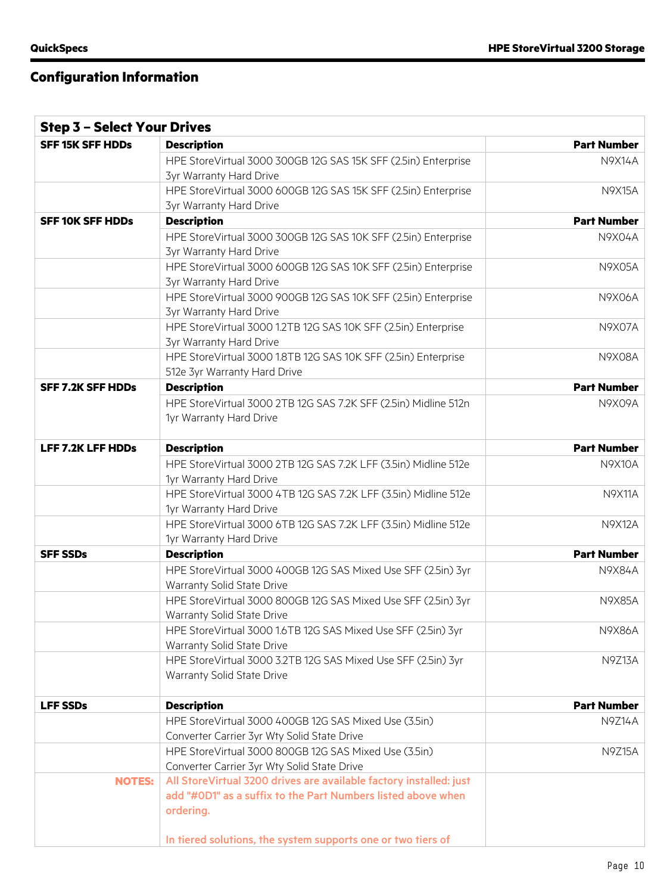r

# **Configuration Information**

| <b>Step 3 - Select Your Drives</b> |                                                                                                      |                    |
|------------------------------------|------------------------------------------------------------------------------------------------------|--------------------|
| <b>SFF 15K SFF HDDs</b>            | <b>Description</b>                                                                                   | <b>Part Number</b> |
|                                    | HPE StoreVirtual 3000 300GB 12G SAS 15K SFF (2.5in) Enterprise<br><b>3yr Warranty Hard Drive</b>     | <b>N9X14A</b>      |
|                                    | HPE StoreVirtual 3000 600GB 12G SAS 15K SFF (2.5in) Enterprise<br><b>3yr Warranty Hard Drive</b>     | <b>N9X15A</b>      |
| <b>SFF 10K SFF HDDs</b>            | <b>Description</b>                                                                                   | <b>Part Number</b> |
|                                    | HPE StoreVirtual 3000 300GB 12G SAS 10K SFF (2.5in) Enterprise<br><b>3yr Warranty Hard Drive</b>     | N9X04A             |
|                                    | HPE StoreVirtual 3000 600GB 12G SAS 10K SFF (2.5in) Enterprise<br><b>3yr Warranty Hard Drive</b>     | <b>N9X05A</b>      |
|                                    | HPE StoreVirtual 3000 900GB 12G SAS 10K SFF (2.5in) Enterprise<br><b>3yr Warranty Hard Drive</b>     | <b>N9X06A</b>      |
|                                    | HPE StoreVirtual 3000 1.2TB 12G SAS 10K SFF (2.5in) Enterprise<br><b>3yr Warranty Hard Drive</b>     | <b>N9X07A</b>      |
|                                    | HPE StoreVirtual 3000 1.8TB 12G SAS 10K SFF (2.5in) Enterprise<br>512e 3yr Warranty Hard Drive       | <b>N9X08A</b>      |
| <b>SFF 7.2K SFF HDDs</b>           | <b>Description</b>                                                                                   | <b>Part Number</b> |
|                                    | HPE StoreVirtual 3000 2TB 12G SAS 7.2K SFF (2.5in) Midline 512n<br>1yr Warranty Hard Drive           | N9X09A             |
| <b>LFF 7.2K LFF HDDs</b>           | <b>Description</b>                                                                                   | <b>Part Number</b> |
|                                    | HPE StoreVirtual 3000 2TB 12G SAS 7.2K LFF (3.5in) Midline 512e<br>1yr Warranty Hard Drive           | <b>N9X10A</b>      |
|                                    | HPE StoreVirtual 3000 4TB 12G SAS 7.2K LFF (3.5in) Midline 512e<br>1yr Warranty Hard Drive           | <b>N9X11A</b>      |
|                                    | HPE StoreVirtual 3000 6TB 12G SAS 7.2K LFF (3.5in) Midline 512e<br>1yr Warranty Hard Drive           | <b>N9X12A</b>      |
| <b>SFF SSDs</b>                    | <b>Description</b>                                                                                   | <b>Part Number</b> |
|                                    | HPE StoreVirtual 3000 400GB 12G SAS Mixed Use SFF (2.5in) 3yr<br>Warranty Solid State Drive          | <b>N9X84A</b>      |
|                                    | HPE StoreVirtual 3000 800GB 12G SAS Mixed Use SFF (2.5in) 3yr<br>Warranty Solid State Drive          | <b>N9X85A</b>      |
|                                    | HPE StoreVirtual 3000 1.6TB 12G SAS Mixed Use SFF (2.5in) 3yr<br>Warranty Solid State Drive          | N9X86A             |
|                                    | HPE StoreVirtual 3000 3.2TB 12G SAS Mixed Use SFF (2.5in) 3yr<br>Warranty Solid State Drive          | <b>N9Z13A</b>      |
| <b>LFF SSDs</b>                    | <b>Description</b>                                                                                   | <b>Part Number</b> |
|                                    | HPE StoreVirtual 3000 400GB 12G SAS Mixed Use (3.5in)<br>Converter Carrier 3yr Wty Solid State Drive | <b>N9Z14A</b>      |
|                                    | HPE StoreVirtual 3000 800GB 12G SAS Mixed Use (3.5in)<br>Converter Carrier 3yr Wty Solid State Drive | <b>N9Z15A</b>      |
| <b>NOTES:</b>                      | All StoreVirtual 3200 drives are available factory installed: just                                   |                    |
|                                    | add "#0D1" as a suffix to the Part Numbers listed above when<br>ordering.                            |                    |
|                                    | In tiered solutions, the system supports one or two tiers of                                         |                    |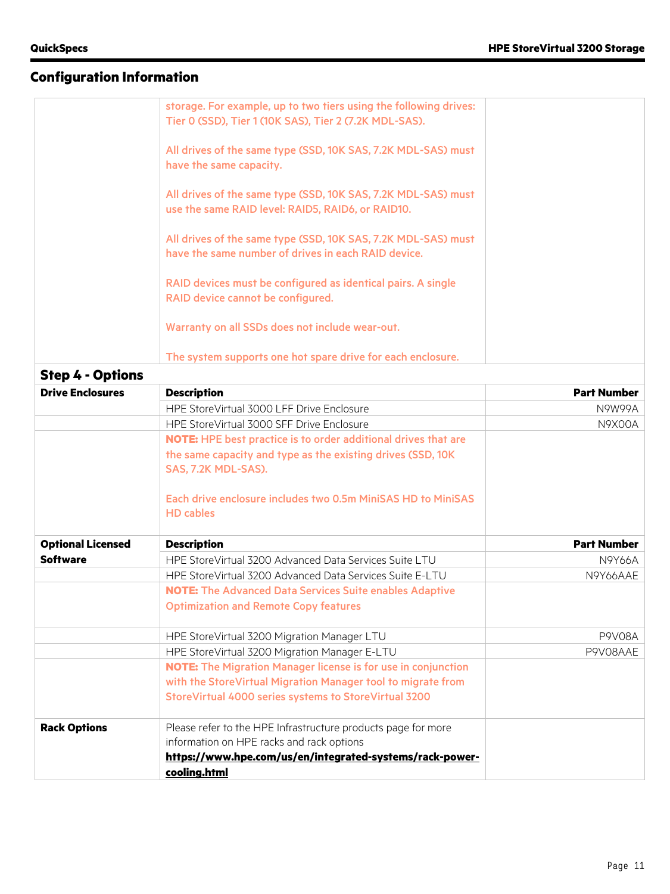|                         | storage. For example, up to two tiers using the following drives:<br>Tier 0 (SSD), Tier 1 (10K SAS), Tier 2 (7.2K MDL-SAS). |                    |
|-------------------------|-----------------------------------------------------------------------------------------------------------------------------|--------------------|
|                         | All drives of the same type (SSD, 10K SAS, 7.2K MDL-SAS) must<br>have the same capacity.                                    |                    |
|                         | All drives of the same type (SSD, 10K SAS, 7.2K MDL-SAS) must<br>use the same RAID level: RAID5, RAID6, or RAID10.          |                    |
|                         | All drives of the same type (SSD, 10K SAS, 7.2K MDL-SAS) must<br>have the same number of drives in each RAID device.        |                    |
|                         | RAID devices must be configured as identical pairs. A single<br>RAID device cannot be configured.                           |                    |
|                         | Warranty on all SSDs does not include wear-out.                                                                             |                    |
|                         | The system supports one hot spare drive for each enclosure.                                                                 |                    |
| <b>Step 4 - Options</b> |                                                                                                                             |                    |
| <b>Drive Enclosures</b> | <b>Description</b>                                                                                                          | <b>Part Number</b> |
|                         | HPE StoreVirtual 3000 LFF Drive Enclosure                                                                                   | N9W99A             |
|                         | HPE StoreVirtual 3000 SFF Drive Enclosure                                                                                   | N9X00A             |

| DI IVE EIKKUSUI ES       | <b>DESCRIPTION</b>                                                               | ган кишра          |
|--------------------------|----------------------------------------------------------------------------------|--------------------|
|                          | HPE StoreVirtual 3000 LFF Drive Enclosure                                        | N9W99A             |
|                          | HPE StoreVirtual 3000 SFF Drive Enclosure                                        | <b>N9X00A</b>      |
|                          | <b>NOTE:</b> HPE best practice is to order additional drives that are            |                    |
|                          | the same capacity and type as the existing drives (SSD, 10K                      |                    |
|                          | SAS, 7.2K MDL-SAS).                                                              |                    |
|                          | Each drive enclosure includes two 0.5m MiniSAS HD to MiniSAS<br><b>HD</b> cables |                    |
| <b>Optional Licensed</b> | <b>Description</b>                                                               | <b>Part Number</b> |
| <b>Software</b>          | HPE StoreVirtual 3200 Advanced Data Services Suite LTU                           | <b>N9Y66A</b>      |
|                          | HPE StoreVirtual 3200 Advanced Data Services Suite E-LTU                         | N9Y66AAE           |
|                          | <b>NOTE:</b> The Advanced Data Services Suite enables Adaptive                   |                    |
|                          | <b>Optimization and Remote Copy features</b>                                     |                    |
|                          | HPE StoreVirtual 3200 Migration Manager LTU                                      | <b>P9V08A</b>      |
|                          | HPE StoreVirtual 3200 Migration Manager E-LTU                                    | P9V08AAE           |
|                          | <b>NOTE:</b> The Migration Manager license is for use in conjunction             |                    |
|                          | with the StoreVirtual Migration Manager tool to migrate from                     |                    |
|                          | StoreVirtual 4000 series systems to StoreVirtual 3200                            |                    |
| <b>Rack Options</b>      | Please refer to the HPE Infrastructure products page for more                    |                    |
|                          | information on HPE racks and rack options                                        |                    |
|                          | https://www.hpe.com/us/en/integrated-systems/rack-power-                         |                    |
|                          | cooling.html                                                                     |                    |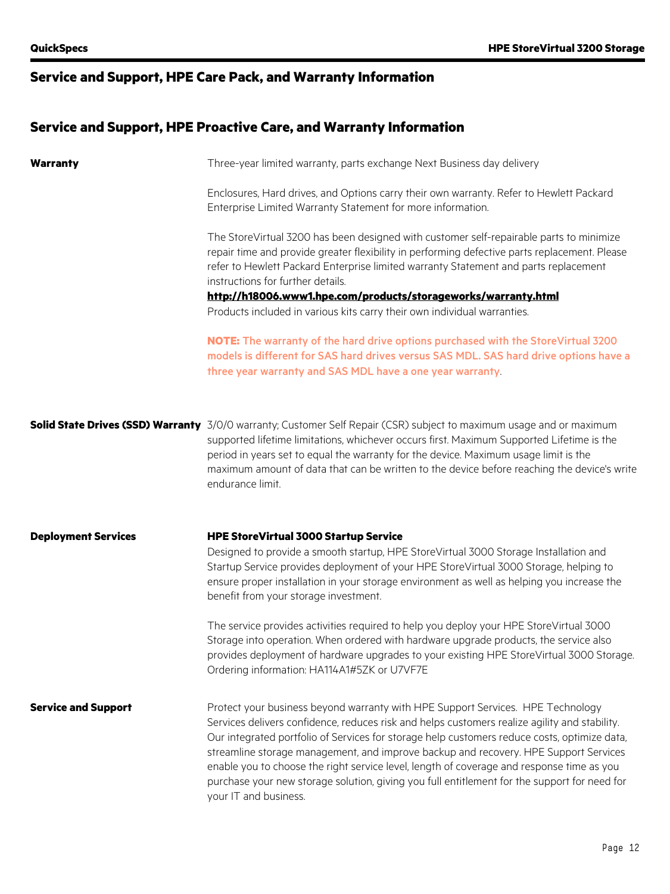# **Service and Support, HPE Care Pack, and Warranty Information**

## **Service and Support, HPE Proactive Care, and Warranty Information**

| <b>Warranty</b>            | Three-year limited warranty, parts exchange Next Business day delivery                                                                                                                                                                                                                                                                                                                                                                                                                                                                                                                         |
|----------------------------|------------------------------------------------------------------------------------------------------------------------------------------------------------------------------------------------------------------------------------------------------------------------------------------------------------------------------------------------------------------------------------------------------------------------------------------------------------------------------------------------------------------------------------------------------------------------------------------------|
|                            | Enclosures, Hard drives, and Options carry their own warranty. Refer to Hewlett Packard<br>Enterprise Limited Warranty Statement for more information.                                                                                                                                                                                                                                                                                                                                                                                                                                         |
|                            | The StoreVirtual 3200 has been designed with customer self-repairable parts to minimize<br>repair time and provide greater flexibility in performing defective parts replacement. Please<br>refer to Hewlett Packard Enterprise limited warranty Statement and parts replacement<br>instructions for further details.<br>http://h18006.www1.hpe.com/products/storageworks/warranty.html                                                                                                                                                                                                        |
|                            | Products included in various kits carry their own individual warranties.                                                                                                                                                                                                                                                                                                                                                                                                                                                                                                                       |
|                            | NOTE: The warranty of the hard drive options purchased with the StoreVirtual 3200<br>models is different for SAS hard drives versus SAS MDL. SAS hard drive options have a<br>three year warranty and SAS MDL have a one year warranty                                                                                                                                                                                                                                                                                                                                                         |
|                            | <b>Solid State Drives (SSD) Warranty</b> 3/0/0 warranty; Customer Self Repair (CSR) subject to maximum usage and or maximum<br>supported lifetime limitations, whichever occurs first. Maximum Supported Lifetime is the<br>period in years set to equal the warranty for the device. Maximum usage limit is the<br>maximum amount of data that can be written to the device before reaching the device's write<br>endurance limit.                                                                                                                                                            |
| <b>Deployment Services</b> | <b>HPE StoreVirtual 3000 Startup Service</b>                                                                                                                                                                                                                                                                                                                                                                                                                                                                                                                                                   |
|                            | Designed to provide a smooth startup, HPE StoreVirtual 3000 Storage Installation and<br>Startup Service provides deployment of your HPE StoreVirtual 3000 Storage, helping to<br>ensure proper installation in your storage environment as well as helping you increase the<br>benefit from your storage investment.                                                                                                                                                                                                                                                                           |
|                            | The service provides activities required to help you deploy your HPE StoreVirtual 3000<br>Storage into operation. When ordered with hardware upgrade products, the service also<br>provides deployment of hardware upgrades to your existing HPE StoreVirtual 3000 Storage.<br>Ordering information: HA114A1#5ZK or U7VF7E                                                                                                                                                                                                                                                                     |
| <b>Service and Support</b> | Protect your business beyond warranty with HPE Support Services. HPE Technology<br>Services delivers confidence, reduces risk and helps customers realize agility and stability.<br>Our integrated portfolio of Services for storage help customers reduce costs, optimize data,<br>streamline storage management, and improve backup and recovery. HPE Support Services<br>enable you to choose the right service level, length of coverage and response time as you<br>purchase your new storage solution, giving you full entitlement for the support for need for<br>your IT and business. |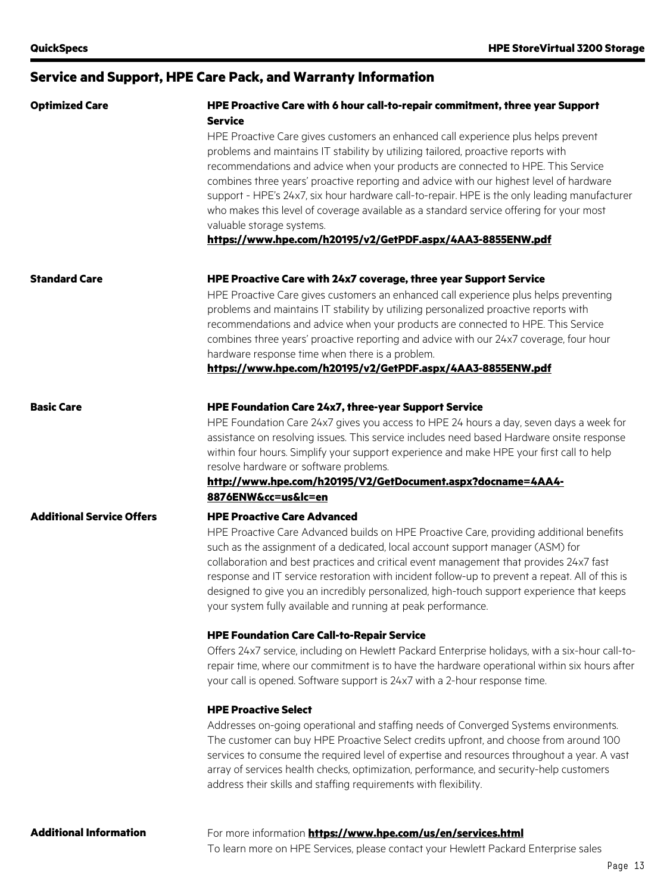## **Service and Support, HPE Care Pack, and Warranty Information**

| <b>Optimized Care</b>            | HPE Proactive Care with 6 hour call-to-repair commitment, three year Support<br><b>Service</b>                                                                                                                                                                                                                                                                                                                                                                                                                                                                                                                                                                                                                                                                                                                                    |  |  |
|----------------------------------|-----------------------------------------------------------------------------------------------------------------------------------------------------------------------------------------------------------------------------------------------------------------------------------------------------------------------------------------------------------------------------------------------------------------------------------------------------------------------------------------------------------------------------------------------------------------------------------------------------------------------------------------------------------------------------------------------------------------------------------------------------------------------------------------------------------------------------------|--|--|
|                                  | HPE Proactive Care gives customers an enhanced call experience plus helps prevent<br>problems and maintains IT stability by utilizing tailored, proactive reports with<br>recommendations and advice when your products are connected to HPE. This Service<br>combines three years' proactive reporting and advice with our highest level of hardware<br>support - HPE's 24x7, six hour hardware call-to-repair. HPE is the only leading manufacturer<br>who makes this level of coverage available as a standard service offering for your most<br>valuable storage systems.<br>https://www.hpe.com/h20195/v2/GetPDF.aspx/4AA3-8855ENW.pdf                                                                                                                                                                                       |  |  |
| <b>Standard Care</b>             | HPE Proactive Care with 24x7 coverage, three year Support Service<br>HPE Proactive Care gives customers an enhanced call experience plus helps preventing<br>problems and maintains IT stability by utilizing personalized proactive reports with<br>recommendations and advice when your products are connected to HPE. This Service<br>combines three years' proactive reporting and advice with our 24x7 coverage, four hour<br>hardware response time when there is a problem.<br>https://www.hpe.com/h20195/v2/GetPDF.aspx/4AA3-8855ENW.pdf                                                                                                                                                                                                                                                                                  |  |  |
| <b>Basic Care</b>                | HPE Foundation Care 24x7, three-year Support Service<br>HPE Foundation Care 24x7 gives you access to HPE 24 hours a day, seven days a week for<br>assistance on resolving issues. This service includes need based Hardware onsite response<br>within four hours. Simplify your support experience and make HPE your first call to help<br>resolve hardware or software problems.<br>http://www.hpe.com/h20195/V2/GetDocument.aspx?docname=4AA4-<br>8876ENW&cc=us&lc=en                                                                                                                                                                                                                                                                                                                                                           |  |  |
| <b>Additional Service Offers</b> | <b>HPE Proactive Care Advanced</b><br>HPE Proactive Care Advanced builds on HPE Proactive Care, providing additional benefits<br>such as the assignment of a dedicated, local account support manager (ASM) for<br>collaboration and best practices and critical event management that provides 24x7 fast<br>response and IT service restoration with incident follow-up to prevent a repeat. All of this is<br>designed to give you an incredibly personalized, high-touch support experience that keeps<br>your system fully available and running at peak performance.<br><b>HPE Foundation Care Call-to-Repair Service</b><br>Offers 24x7 service, including on Hewlett Packard Enterprise holidays, with a six-hour call-to-<br>repair time, where our commitment is to have the hardware operational within six hours after |  |  |
|                                  | your call is opened. Software support is 24x7 with a 2-hour response time.<br><b>HPE Proactive Select</b><br>Addresses on-going operational and staffing needs of Converged Systems environments.<br>The customer can buy HPE Proactive Select credits upfront, and choose from around 100<br>services to consume the required level of expertise and resources throughout a year. A vast<br>array of services health checks, optimization, performance, and security-help customers<br>address their skills and staffing requirements with flexibility.                                                                                                                                                                                                                                                                          |  |  |
| <b>Additional Information</b>    | For more information <b>https://www.hpe.com/us/en/services.html</b><br>To learn more on HPE Services, please contact your Hewlett Packard Enterprise sales                                                                                                                                                                                                                                                                                                                                                                                                                                                                                                                                                                                                                                                                        |  |  |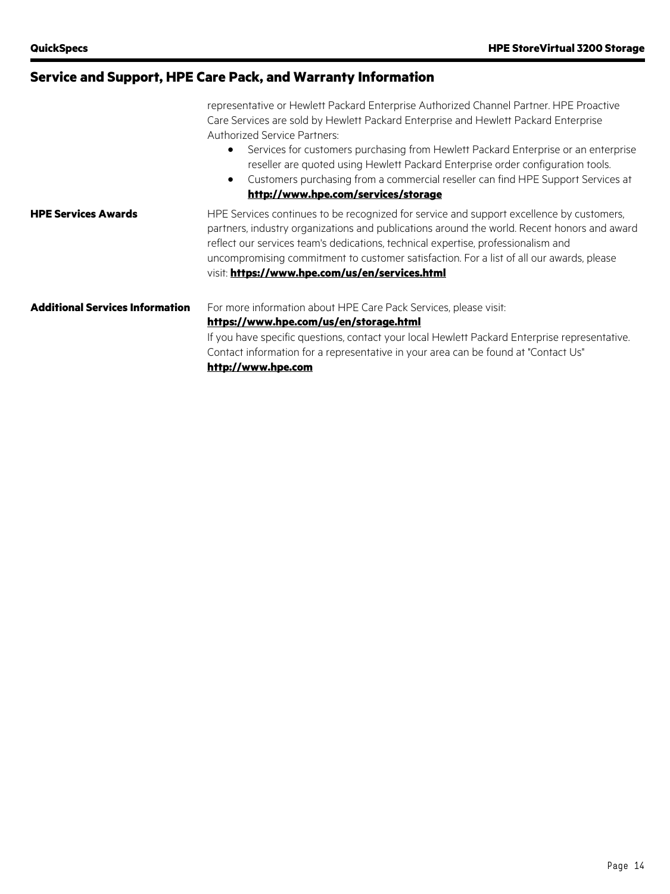| Service and Support, HPE Care Pack, and Warranty Information |  |  |
|--------------------------------------------------------------|--|--|
|                                                              |  |  |

|                                 | representative or Hewlett Packard Enterprise Authorized Channel Partner. HPE Proactive<br>Care Services are sold by Hewlett Packard Enterprise and Hewlett Packard Enterprise<br><b>Authorized Service Partners:</b><br>Services for customers purchasing from Hewlett Packard Enterprise or an enterprise<br>$\bullet$<br>reseller are quoted using Hewlett Packard Enterprise order configuration tools.<br>Customers purchasing from a commercial reseller can find HPE Support Services at<br>$\bullet$<br>http://www.hpe.com/services/storage |  |
|---------------------------------|----------------------------------------------------------------------------------------------------------------------------------------------------------------------------------------------------------------------------------------------------------------------------------------------------------------------------------------------------------------------------------------------------------------------------------------------------------------------------------------------------------------------------------------------------|--|
| <b>HPE Services Awards</b>      | HPE Services continues to be recognized for service and support excellence by customers,<br>partners, industry organizations and publications around the world. Recent honors and award<br>reflect our services team's dedications, technical expertise, professionalism and<br>uncompromising commitment to customer satisfaction. For a list of all our awards, please<br>visit: https://www.hpe.com/us/en/services.html                                                                                                                         |  |
| Additional Services Information | For more information about HPE Care Pack Services, please visit:<br>https://www.hpe.com/us/en/storage.html<br>If you have specific questions, contact your local Hewlett Packard Enterprise representative.<br>Contact information for a representative in your area can be found at "Contact Us"<br>http://www.hpe.com                                                                                                                                                                                                                            |  |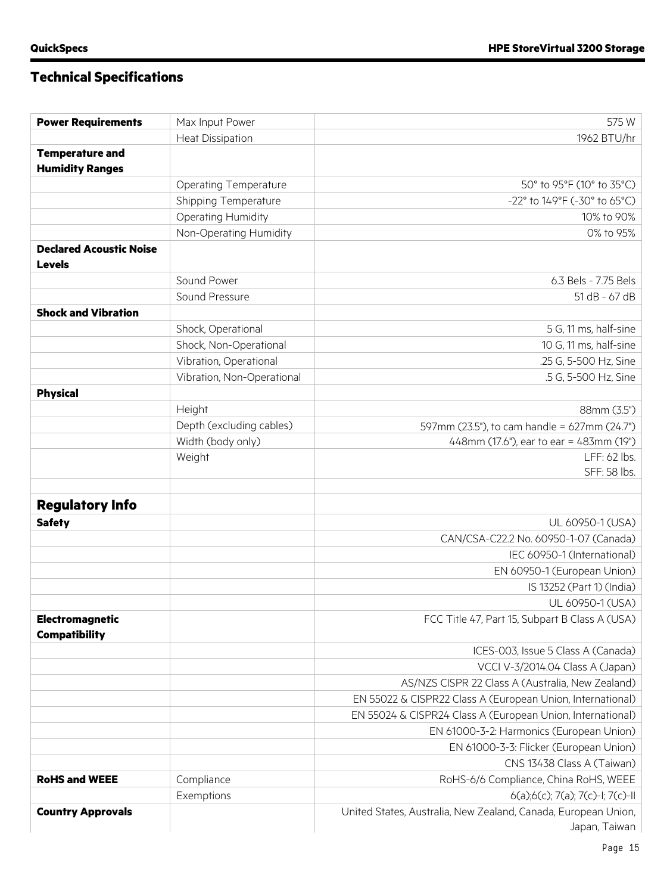# **Technical Specifications**

| <b>Power Requirements</b>      | Max Input Power              | 575W                                                           |
|--------------------------------|------------------------------|----------------------------------------------------------------|
|                                | <b>Heat Dissipation</b>      | 1962 BTU/hr                                                    |
| <b>Temperature and</b>         |                              |                                                                |
| <b>Humidity Ranges</b>         |                              |                                                                |
|                                | <b>Operating Temperature</b> | 50° to 95°F (10° to 35°C)                                      |
|                                | Shipping Temperature         | -22° to 149°F (-30° to 65°C)                                   |
|                                | Operating Humidity           | 10% to 90%                                                     |
|                                | Non-Operating Humidity       | 0% to 95%                                                      |
| <b>Declared Acoustic Noise</b> |                              |                                                                |
| <b>Levels</b>                  |                              |                                                                |
|                                | Sound Power                  | 6.3 Bels - 7.75 Bels                                           |
|                                | Sound Pressure               | 51 dB - 67 dB                                                  |
| <b>Shock and Vibration</b>     |                              |                                                                |
|                                | Shock, Operational           | 5 G, 11 ms, half-sine                                          |
|                                | Shock, Non-Operational       | 10 G, 11 ms, half-sine                                         |
|                                | Vibration, Operational       | .25 G, 5-500 Hz, Sine                                          |
|                                | Vibration, Non-Operational   | .5 G, 5-500 Hz, Sine                                           |
| <b>Physical</b>                |                              |                                                                |
|                                | Height                       | 88mm (3.5")                                                    |
|                                | Depth (excluding cables)     | 597mm (23.5"), to cam handle = 627mm (24.7")                   |
|                                | Width (body only)            | 448mm (17.6"), ear to ear = 483mm (19")                        |
|                                | Weight                       | LFF: 62 lbs.                                                   |
|                                |                              | SFF: 58 lbs.                                                   |
|                                |                              |                                                                |
| <b>Regulatory Info</b>         |                              |                                                                |
| <b>Safety</b>                  |                              | UL 60950-1 (USA)                                               |
|                                |                              | CAN/CSA-C22.2 No. 60950-1-07 (Canada)                          |
|                                |                              | IEC 60950-1 (International)                                    |
|                                |                              | EN 60950-1 (European Union)                                    |
|                                |                              | IS 13252 (Part 1) (India)                                      |
|                                |                              | UL 60950-1 (USA)                                               |
| Electromagnetic                |                              | FCC Title 47, Part 15, Subpart B Class A (USA)                 |
| <b>Compatibility</b>           |                              |                                                                |
|                                |                              | ICES-003, Issue 5 Class A (Canada)                             |
|                                |                              | VCCI V-3/2014.04 Class A (Japan)                               |
|                                |                              | AS/NZS CISPR 22 Class A (Australia, New Zealand)               |
|                                |                              | EN 55022 & CISPR22 Class A (European Union, International)     |
|                                |                              | EN 55024 & CISPR24 Class A (European Union, International)     |
|                                |                              | EN 61000-3-2: Harmonics (European Union)                       |
|                                |                              | EN 61000-3-3: Flicker (European Union)                         |
|                                |                              | CNS 13438 Class A (Taiwan)                                     |
| <b>RoHS and WEEE</b>           | Compliance                   | RoHS-6/6 Compliance, China RoHS, WEEE                          |
|                                | Exemptions                   | 6(a);6(c); 7(a); 7(c)-l; 7(c)-ll                               |
| <b>Country Approvals</b>       |                              | United States, Australia, New Zealand, Canada, European Union, |
|                                |                              | Japan, Taiwan                                                  |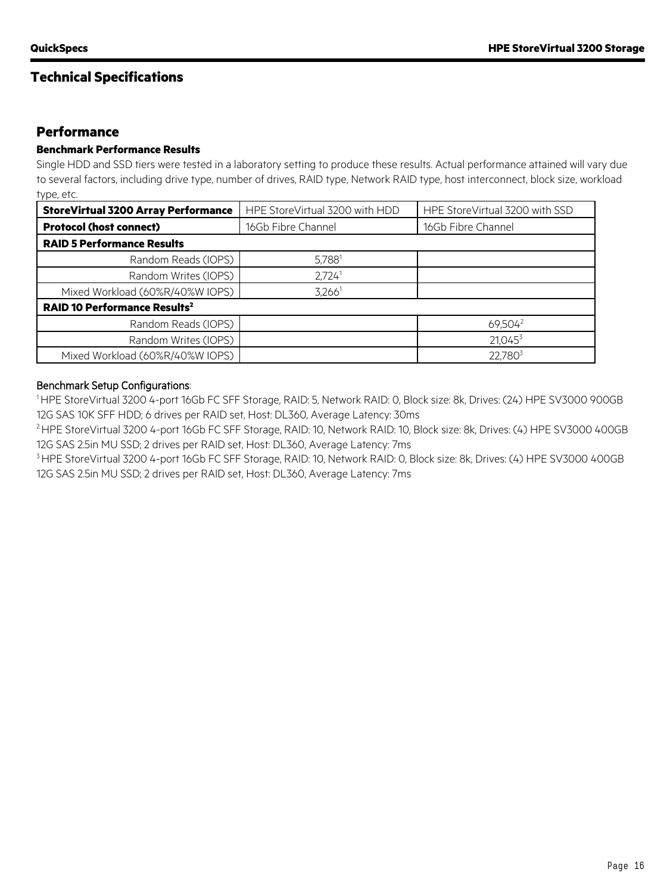## **Technical Specifications**

## **Performance**

#### **Benchmark Performance Results**

Single HDD and SSD tiers were tested in a laboratory setting to produce these results. Actual performance attained will vary due to several factors, including drive type, number of drives, RAID type, Network RAID type, host interconnect, block size, workload type, etc.

| <b>StoreVirtual 3200 Array Performance</b>     | HPE StoreVirtual 3200 with HDD | HPE StoreVirtual 3200 with SSD |  |  |  |
|------------------------------------------------|--------------------------------|--------------------------------|--|--|--|
| <b>Protocol (host connect)</b>                 | 16Gb Fibre Channel             | 16Gb Fibre Channel             |  |  |  |
| <b>RAID 5 Performance Results</b>              |                                |                                |  |  |  |
| Random Reads (IOPS)                            | $5,788^1$                      |                                |  |  |  |
| Random Writes (IOPS)                           | 2,724 <sup>1</sup>             |                                |  |  |  |
| Mixed Workload (60%R/40%W IOPS)                | $3,266^1$                      |                                |  |  |  |
| <b>RAID 10 Performance Results<sup>2</sup></b> |                                |                                |  |  |  |
| Random Reads (IOPS)                            |                                | 69,504 <sup>2</sup>            |  |  |  |
| Random Writes (IOPS)                           |                                | $21,045^3$                     |  |  |  |
| Mixed Workload (60%R/40%W IOPS)                |                                | 22,7803                        |  |  |  |

#### Benchmark Setup Configurations:

1 HPE StoreVirtual 3200 4-port 16Gb FC SFF Storage, RAID: 5, Network RAID: 0, Block size: 8k, Drives: (24) HPE SV3000 900GB 12G SAS 10K SFF HDD; 6 drives per RAID set, Host: DL360, Average Latency: 30ms

2 HPE StoreVirtual 3200 4-port 16Gb FC SFF Storage, RAID: 10, Network RAID: 10, Block size: 8k, Drives: (4) HPE SV3000 400GB 12G SAS 2.5in MU SSD; 2 drives per RAID set, Host: DL360, Average Latency: 7ms

<sup>3</sup> HPE StoreVirtual 3200 4-port 16Gb FC SFF Storage, RAID: 10, Network RAID: 0, Block size: 8k, Drives: (4) HPE SV3000 400GB 12G SAS 2.5in MU SSD; 2 drives per RAID set, Host: DL360, Average Latency: 7ms